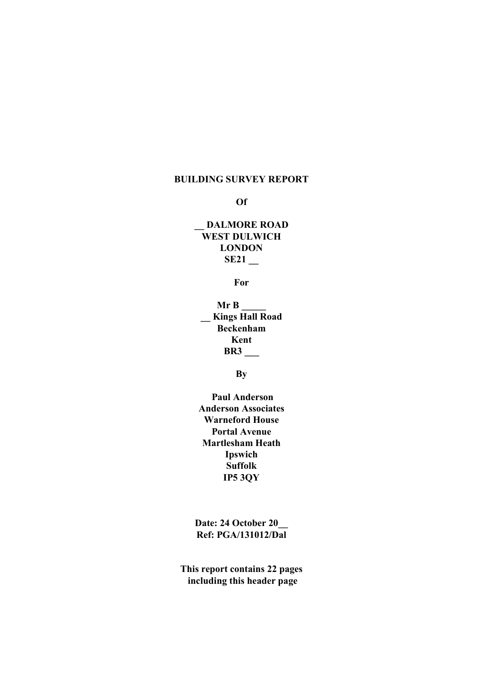#### BUILDING SURVEY REPORT

Of

# DALMORE ROAD WEST DULWICH LONDON  $SE21$   $-$

For

 $MrB$ \_\_ Kings Hall Road Beckenham Kent BR3 \_\_\_

**By** 

 Paul Anderson Anderson Associates Warneford House Portal Avenue Martlesham Heath Ipswich Suffolk IP5 3QY

Date: 24 October 20\_\_ Ref: PGA/131012/Dal

This report contains 22 pages including this header page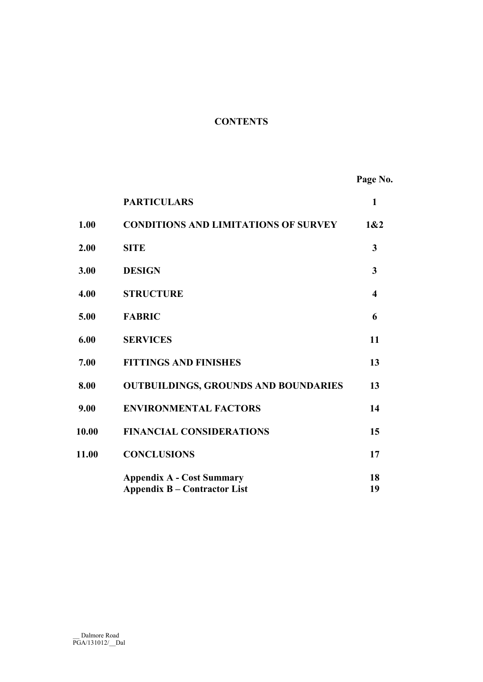# **CONTENTS**

Page No.

|       | <b>PARTICULARS</b>                                                      | $\mathbf{1}$ |
|-------|-------------------------------------------------------------------------|--------------|
| 1.00  | <b>CONDITIONS AND LIMITATIONS OF SURVEY</b>                             | 1&2          |
| 2.00  | <b>SITE</b>                                                             | 3            |
| 3.00  | <b>DESIGN</b>                                                           | 3            |
| 4.00  | <b>STRUCTURE</b>                                                        | 4            |
| 5.00  | <b>FABRIC</b>                                                           | 6            |
| 6.00  | <b>SERVICES</b>                                                         | 11           |
| 7.00  | <b>FITTINGS AND FINISHES</b>                                            | 13           |
| 8.00  | <b>OUTBUILDINGS, GROUNDS AND BOUNDARIES</b>                             | 13           |
| 9.00  | <b>ENVIRONMENTAL FACTORS</b>                                            | 14           |
| 10.00 | <b>FINANCIAL CONSIDERATIONS</b>                                         | 15           |
| 11.00 | <b>CONCLUSIONS</b>                                                      | 17           |
|       | <b>Appendix A - Cost Summary</b><br><b>Appendix B – Contractor List</b> | 18<br>19     |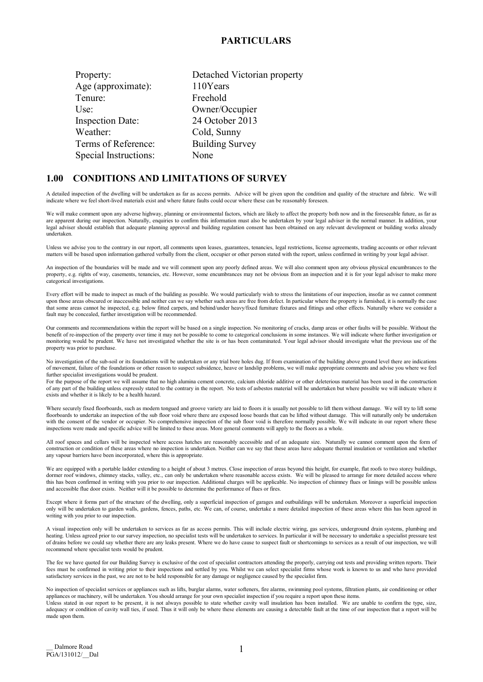#### PARTICULARS

| Property:               | Detached Victorian property |
|-------------------------|-----------------------------|
| Age (approximate):      | 110Years                    |
| Tenure:                 | Freehold                    |
| Use:                    | Owner/Occupier              |
| <b>Inspection Date:</b> | 24 October 2013             |
| Weather:                | Cold, Sunny                 |
| Terms of Reference:     | <b>Building Survey</b>      |
| Special Instructions:   | None                        |

#### 1.00 CONDITIONS AND LIMITATIONS OF SURVEY

A detailed inspection of the dwelling will be undertaken as far as access permits. Advice will be given upon the condition and quality of the structure and fabric. We will indicate where we feel short-lived materials exist and where future faults could occur where these can be reasonably foreseen.

We will make comment upon any adverse highway, planning or environmental factors, which are likely to affect the property both now and in the foreseeable future, as far as are apparent during our inspection. Naturally, enquiries to confirm this information must also be undertaken by your legal adviser in the normal manner. In addition, your legal adviser should establish that adequate planning approval and building regulation consent has been obtained on any relevant development or building works already undertaken.

Unless we advise you to the contrary in our report, all comments upon leases, guarantees, tenancies, legal restrictions, license agreements, trading accounts or other relevant matters will be based upon information gathered verbally from the client, occupier or other person stated with the report, unless confirmed in writing by your legal adviser.

An inspection of the boundaries will be made and we will comment upon any poorly defined areas. We will also comment upon any obvious physical encumbrances to the property, e.g. rights of way, casements, tenancies, etc. However, some encumbrances may not be obvious from an inspection and it is for your legal adviser to make more categorical investigations.

Every effort will be made to inspect as much of the building as possible. We would particularly wish to stress the limitations of our inspection, insofar as we cannot comment upon those areas obscured or inaccessible and neither can we say whether such areas are free from defect. In particular where the property is furnished, it is normally the case that some areas cannot he inspected, e.g. below fitted carpets, and behind/under heavy/fixed furniture fixtures and fittings and other effects. Naturally where we consider a fault may be concealed, further investigation will be recommended.

Our comments and recommendations within the report will be based on a single inspection. No monitoring of cracks, damp areas or other faults will be possible. Without the benefit of re-inspection of the property over time it may not be possible to come to categorical conclusions in some instances. We will indicate where further investigation or monitoring would be prudent. We have not investigated whether the site is or has been contaminated. Your legal advisor should investigate what the previous use of the property was prior to purchase.

No investigation of the sub-soil or its foundations will be undertaken or any trial bore holes dug. If from examination of the building above ground level there are indications of movement, failure of the foundations or other reason to suspect subsidence, heave or landslip problems, we will make appropriate comments and advise you where we feel further specialist investigations would be prudent.

For the purpose of the report we will assume that no high alumina cement concrete, calcium chloride additive or other deleterious material has been used in the construction of any part of the building unless expressly stated to the contrary in the report. No tests of asbestos material will he undertaken but where possible we will indicate where it exists and whether it is likely to be a health hazard.

Where securely fixed floorboards, such as modern tongued and groove variety are laid to floors it is usually not possible to lift them without damage. We will try to lift some floorboards to undertake an inspection of the sub floor void where there are exposed loose boards that can be lifted without damage. This will naturally only be undertaken with the consent of the vendor or occupier. No comprehensive inspection of the sub floor void is therefore normally possible. We will indicate in our report where these inspections were made and specific advice will be limited to these areas. More general comments will apply to the floors as a whole.

All roof spaces and cellars will be inspected where access hatches are reasonably accessible and of an adequate size. Naturally we cannot comment upon the form of construction or condition of these areas where no inspection is undertaken. Neither can we say that these areas have adequate thermal insulation or ventilation and whether any vapour barriers have been incorporated, where this is appropriate.

We are equipped with a portable ladder extending to a height of about 3 metres. Close inspection of areas beyond this height, for example, flat roofs to two storey buildings, dormer roof windows, chimney stacks, valley, etc., can only be undertaken where reasonable access exists. We will be pleased to arrange for more detailed access where this has been confirmed in writing with you prior to our inspection. Additional charges will be applicable. No inspection of chimney flues or linings will be possible unless and accessible flue door exists. Neither will it be possible to determine the performance of flues or fires.

Except where it forms part of the structure of the dwelling, only a superficial inspection of garages and outbuildings will be undertaken. Moreover a superficial inspection only will be undertaken to garden walls, gardens, fences, paths, etc. We can, of course, undertake a more detailed inspection of these areas where this has been agreed in writing with you prior to our inspection.

A visual inspection only will be undertaken to services as far as access permits. This will include electric wiring, gas services, underground drain systems, plumbing and heating. Unless agreed prior to our survey inspection, no specialist tests will be undertaken to services. In particular it will be necessary to undertake a specialist pressure test of drains before we could say whether there are any leaks present. Where we do have cause to suspect fault or shortcomings to services as a result of our inspection, we will recommend where specialist tests would be prudent.

The fee we have quoted for our Building Survey is exclusive of the cost of specialist contractors attending the properly, carrying out tests and providing written reports. Their fees must be confirmed in writing prior to their inspections and settled by you. Whilst we can select specialist firms whose work is known to us and who have provided satisfactory services in the past, we are not to be held responsible for any damage or negligence caused by the specialist firm.

No inspection of specialist services or appliances such as lifts, burglar alarms, water softeners, fire alarms, swimming pool systems, filtration plants, air conditioning or other appliances or machinery, will be undertaken. You should arrange for your own specialist inspection if you require a report upon these items. Unless stated in our report to be present, it is not always possible to state whether cavity wall insulation has been installed. We are unable to confirm the type, size, adequacy or condition of cavity wall ties, if used. Thus it will only be where these elements are causing a detectable fault at the time of our inspection that a report will be made upon them.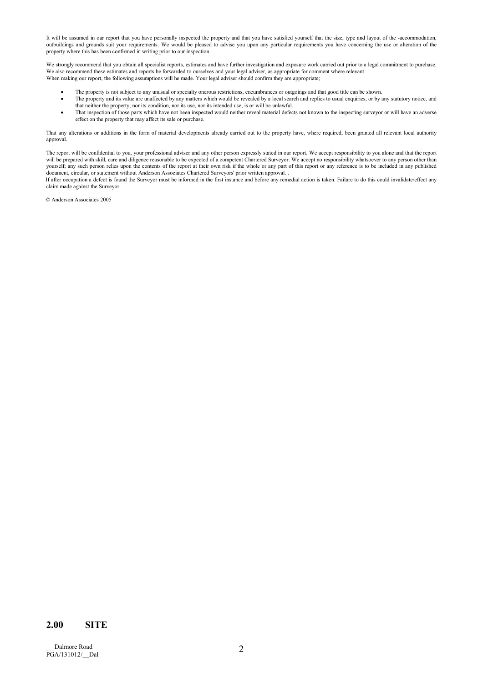It will be assumed in our report that you have personally inspected the property and that you have satisfied yourself that the size, type and layout of the -accommodation, outbuildings and grounds suit your requirements. We would be pleased to advise you upon any particular requirements you have concerning the use or alteration of the property where this has been confirmed in writing prior to our inspection.

We strongly recommend that you obtain all specialist reports, estimates and have further investigation and exposure work carried out prior to a legal commitment to purchase. We also recommend these estimates and reports be forwarded to ourselves and your legal adviser, as appropriate for comment where relevant. When making our report, the following assumptions will he made. Your legal adviser should confirm they are appropriate;

- The property is not subject to any unusual or specialty onerous restrictions, encumbrances or outgoings and that good title can be shown.
- The property and its value are unaffected by any matters which would be revealed by a local search and replies to usual enquiries, or by any statutory notice, and that neither the property, nor its condition, nor its use, nor its intended use, is or will be unlawful.
- That inspection of those parts which have not been inspected would neither reveal material defects not known to the inspecting surveyor or will have an adverse effect on the property that may affect its sale or purchase.

That any alterations or additions in the form of material developments already carried out to the property have, where required, been granted all relevant local authority approval.

The report will be confidential to you, your professional adviser and any other person expressly stated in our report. We accept responsibility to you alone and that the report will be prepared with skill, care and diligence reasonable to be expected of a competent Chartered Surveyor. We accept no responsibility whatsoever to any person other than yourself; any such person relies upon the contents of the report at their own risk if the whole or any part of this report or any reference is to be included in any published document, circular, or statement without Anderson Associates Chartered Surveyors' prior written approval. .

If after occupation a defect is found the Surveyor must be informed in the first instance and before any remedial action is taken. Failure to do this could invalidate/effect any claim made against the Surveyor.

© Anderson Associates 2005

### 2.00 SITE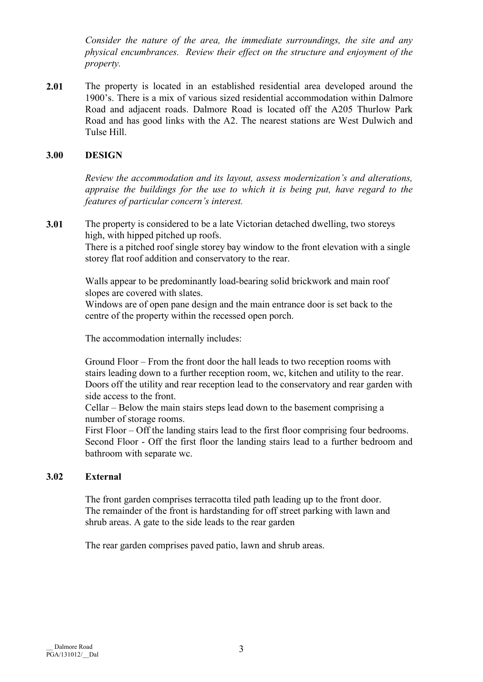Consider the nature of the area, the immediate surroundings, the site and any physical encumbrances. Review their effect on the structure and enjoyment of the property.

2.01 The property is located in an established residential area developed around the 1900's. There is a mix of various sized residential accommodation within Dalmore Road and adjacent roads. Dalmore Road is located off the A205 Thurlow Park Road and has good links with the A2. The nearest stations are West Dulwich and Tulse Hill.

# 3.00 DESIGN

Review the accommodation and its layout, assess modernization's and alterations, appraise the buildings for the use to which it is being put, have regard to the features of particular concern's interest.

3.01 The property is considered to be a late Victorian detached dwelling, two storeys high, with hipped pitched up roofs.

> There is a pitched roof single storey bay window to the front elevation with a single storey flat roof addition and conservatory to the rear.

 Walls appear to be predominantly load-bearing solid brickwork and main roof slopes are covered with slates.

Windows are of open pane design and the main entrance door is set back to the centre of the property within the recessed open porch.

The accommodation internally includes:

 Ground Floor – From the front door the hall leads to two reception rooms with stairs leading down to a further reception room, wc, kitchen and utility to the rear. Doors off the utility and rear reception lead to the conservatory and rear garden with side access to the front.

 Cellar – Below the main stairs steps lead down to the basement comprising a number of storage rooms.

 First Floor – Off the landing stairs lead to the first floor comprising four bedrooms. Second Floor - Off the first floor the landing stairs lead to a further bedroom and bathroom with separate wc.

# 3.02 External

The front garden comprises terracotta tiled path leading up to the front door. The remainder of the front is hardstanding for off street parking with lawn and shrub areas. A gate to the side leads to the rear garden

The rear garden comprises paved patio, lawn and shrub areas.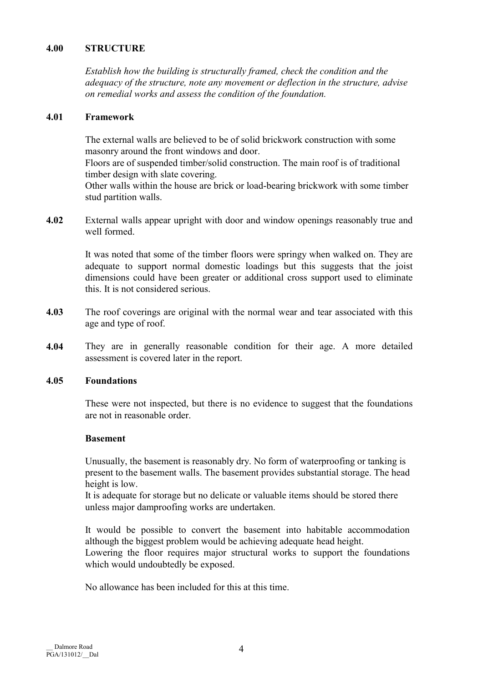# 4.00 STRUCTURE

Establish how the building is structurally framed, check the condition and the adequacy of the structure, note any movement or deflection in the structure, advise on remedial works and assess the condition of the foundation.

# 4.01 Framework

The external walls are believed to be of solid brickwork construction with some masonry around the front windows and door.

Floors are of suspended timber/solid construction. The main roof is of traditional timber design with slate covering.

Other walls within the house are brick or load-bearing brickwork with some timber stud partition walls.

4.02 External walls appear upright with door and window openings reasonably true and well formed.

> It was noted that some of the timber floors were springy when walked on. They are adequate to support normal domestic loadings but this suggests that the joist dimensions could have been greater or additional cross support used to eliminate this. It is not considered serious.

- 4.03 The roof coverings are original with the normal wear and tear associated with this age and type of roof.
- 4.04 They are in generally reasonable condition for their age. A more detailed assessment is covered later in the report.

# 4.05 Foundations

 These were not inspected, but there is no evidence to suggest that the foundations are not in reasonable order.

#### Basement

 Unusually, the basement is reasonably dry. No form of waterproofing or tanking is present to the basement walls. The basement provides substantial storage. The head height is low.

It is adequate for storage but no delicate or valuable items should be stored there unless major damproofing works are undertaken.

 It would be possible to convert the basement into habitable accommodation although the biggest problem would be achieving adequate head height. Lowering the floor requires major structural works to support the foundations which would undoubtedly be exposed.

No allowance has been included for this at this time.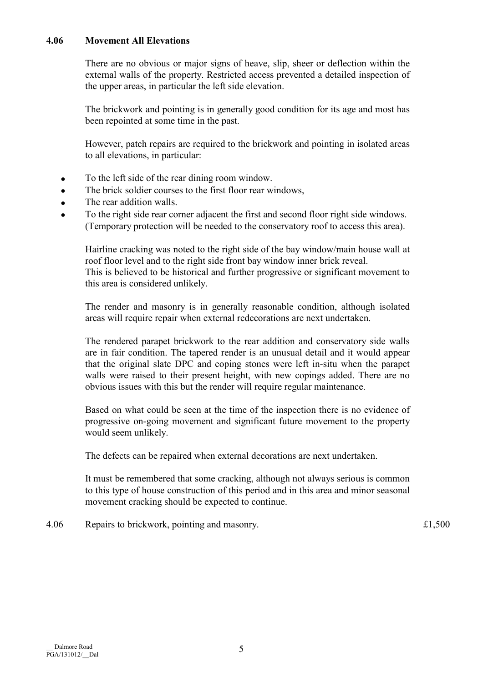# 4.06 Movement All Elevations

 There are no obvious or major signs of heave, slip, sheer or deflection within the external walls of the property. Restricted access prevented a detailed inspection of the upper areas, in particular the left side elevation.

 The brickwork and pointing is in generally good condition for its age and most has been repointed at some time in the past.

 However, patch repairs are required to the brickwork and pointing in isolated areas to all elevations, in particular:

- To the left side of the rear dining room window.
- The brick soldier courses to the first floor rear windows,
- The rear addition walls.
- To the right side rear corner adjacent the first and second floor right side windows. (Temporary protection will be needed to the conservatory roof to access this area).

 Hairline cracking was noted to the right side of the bay window/main house wall at roof floor level and to the right side front bay window inner brick reveal. This is believed to be historical and further progressive or significant movement to this area is considered unlikely.

 The render and masonry is in generally reasonable condition, although isolated areas will require repair when external redecorations are next undertaken.

 The rendered parapet brickwork to the rear addition and conservatory side walls are in fair condition. The tapered render is an unusual detail and it would appear that the original slate DPC and coping stones were left in-situ when the parapet walls were raised to their present height, with new copings added. There are no obvious issues with this but the render will require regular maintenance.

 Based on what could be seen at the time of the inspection there is no evidence of progressive on-going movement and significant future movement to the property would seem unlikely.

The defects can be repaired when external decorations are next undertaken.

 It must be remembered that some cracking, although not always serious is common to this type of house construction of this period and in this area and minor seasonal movement cracking should be expected to continue.

4.06 Repairs to brickwork, pointing and masonry.  $\text{£}1,500$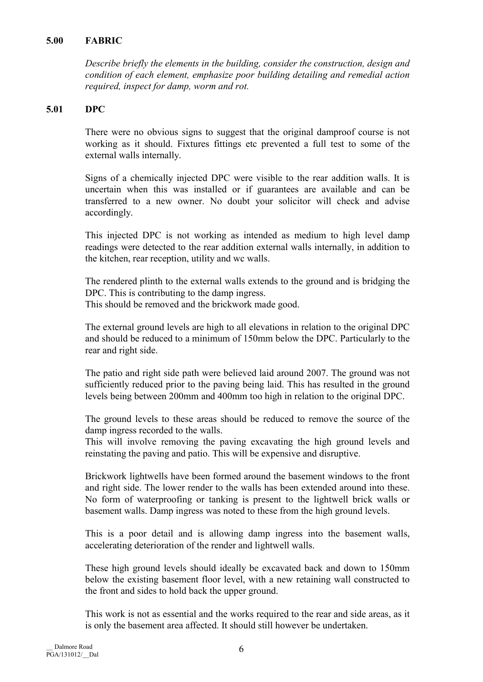# 5.00 FABRIC

Describe briefly the elements in the building, consider the construction, design and condition of each element, emphasize poor building detailing and remedial action required, inspect for damp, worm and rot.

# 5.01 DPC

 There were no obvious signs to suggest that the original damproof course is not working as it should. Fixtures fittings etc prevented a full test to some of the external walls internally.

 Signs of a chemically injected DPC were visible to the rear addition walls. It is uncertain when this was installed or if guarantees are available and can be transferred to a new owner. No doubt your solicitor will check and advise accordingly.

 This injected DPC is not working as intended as medium to high level damp readings were detected to the rear addition external walls internally, in addition to the kitchen, rear reception, utility and wc walls.

 The rendered plinth to the external walls extends to the ground and is bridging the DPC. This is contributing to the damp ingress. This should be removed and the brickwork made good.

 The external ground levels are high to all elevations in relation to the original DPC and should be reduced to a minimum of 150mm below the DPC. Particularly to the rear and right side.

 The patio and right side path were believed laid around 2007. The ground was not sufficiently reduced prior to the paving being laid. This has resulted in the ground levels being between 200mm and 400mm too high in relation to the original DPC.

 The ground levels to these areas should be reduced to remove the source of the damp ingress recorded to the walls.

 This will involve removing the paving excavating the high ground levels and reinstating the paving and patio. This will be expensive and disruptive.

 Brickwork lightwells have been formed around the basement windows to the front and right side. The lower render to the walls has been extended around into these. No form of waterproofing or tanking is present to the lightwell brick walls or basement walls. Damp ingress was noted to these from the high ground levels.

 This is a poor detail and is allowing damp ingress into the basement walls, accelerating deterioration of the render and lightwell walls.

 These high ground levels should ideally be excavated back and down to 150mm below the existing basement floor level, with a new retaining wall constructed to the front and sides to hold back the upper ground.

 This work is not as essential and the works required to the rear and side areas, as it is only the basement area affected. It should still however be undertaken.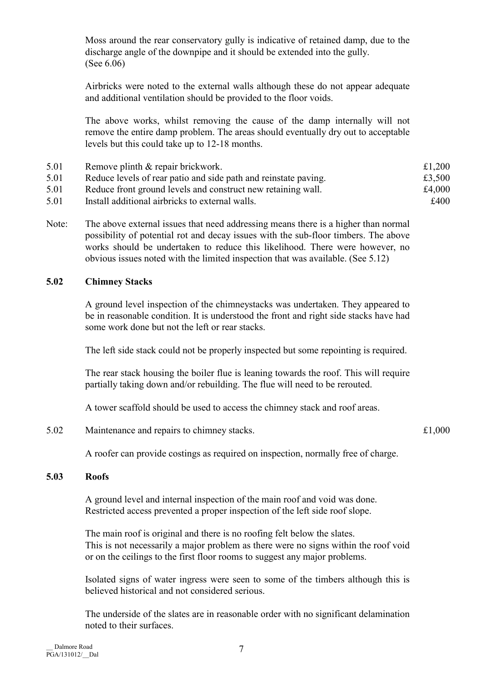Moss around the rear conservatory gully is indicative of retained damp, due to the discharge angle of the downpipe and it should be extended into the gully. (See 6.06)

 Airbricks were noted to the external walls although these do not appear adequate and additional ventilation should be provided to the floor voids.

 The above works, whilst removing the cause of the damp internally will not remove the entire damp problem. The areas should eventually dry out to acceptable levels but this could take up to 12-18 months.

| 5.01 | Remove plinth & repair brickwork.                               | £1,200 |
|------|-----------------------------------------------------------------|--------|
| 5.01 | Reduce levels of rear patio and side path and reinstate paving. | £3,500 |
| 5.01 | Reduce front ground levels and construct new retaining wall.    | £4,000 |
| 5.01 | Install additional airbricks to external walls.                 | £400   |

Note: The above external issues that need addressing means there is a higher than normal possibility of potential rot and decay issues with the sub-floor timbers. The above works should be undertaken to reduce this likelihood. There were however, no obvious issues noted with the limited inspection that was available. (See 5.12)

# 5.02 Chimney Stacks

A ground level inspection of the chimneystacks was undertaken. They appeared to be in reasonable condition. It is understood the front and right side stacks have had some work done but not the left or rear stacks.

The left side stack could not be properly inspected but some repointing is required.

 The rear stack housing the boiler flue is leaning towards the roof. This will require partially taking down and/or rebuilding. The flue will need to be rerouted.

A tower scaffold should be used to access the chimney stack and roof areas.

5.02 Maintenance and repairs to chimney stacks.  $\pounds 1,000$ 

A roofer can provide costings as required on inspection, normally free of charge.

# 5.03 Roofs

 A ground level and internal inspection of the main roof and void was done. Restricted access prevented a proper inspection of the left side roof slope.

 The main roof is original and there is no roofing felt below the slates. This is not necessarily a major problem as there were no signs within the roof void or on the ceilings to the first floor rooms to suggest any major problems.

 Isolated signs of water ingress were seen to some of the timbers although this is believed historical and not considered serious.

 The underside of the slates are in reasonable order with no significant delamination noted to their surfaces.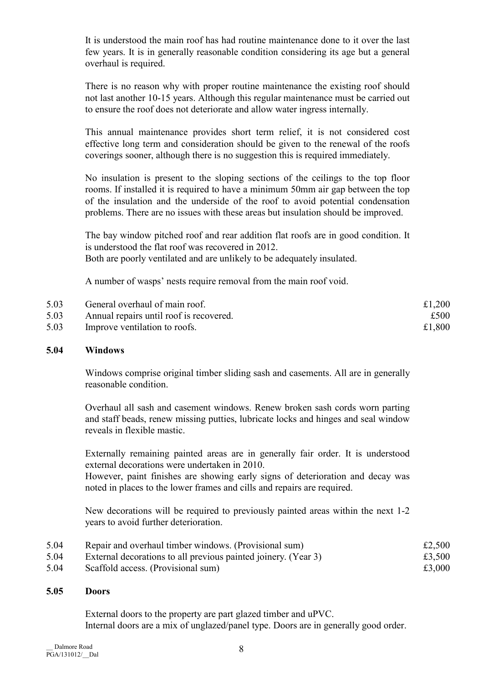It is understood the main roof has had routine maintenance done to it over the last few years. It is in generally reasonable condition considering its age but a general overhaul is required.

 There is no reason why with proper routine maintenance the existing roof should not last another 10-15 years. Although this regular maintenance must be carried out to ensure the roof does not deteriorate and allow water ingress internally.

 This annual maintenance provides short term relief, it is not considered cost effective long term and consideration should be given to the renewal of the roofs coverings sooner, although there is no suggestion this is required immediately.

 No insulation is present to the sloping sections of the ceilings to the top floor rooms. If installed it is required to have a minimum 50mm air gap between the top of the insulation and the underside of the roof to avoid potential condensation problems. There are no issues with these areas but insulation should be improved.

 The bay window pitched roof and rear addition flat roofs are in good condition. It is understood the flat roof was recovered in 2012. Both are poorly ventilated and are unlikely to be adequately insulated.

A number of wasps' nests require removal from the main roof void.

| 5.03 | General overhaul of main roof.          | £1,200 |
|------|-----------------------------------------|--------|
| 5.03 | Annual repairs until roof is recovered. | £500   |
| 5.03 | Improve ventilation to roofs.           | £1,800 |

# 5.04 Windows

 Windows comprise original timber sliding sash and casements. All are in generally reasonable condition.

 Overhaul all sash and casement windows. Renew broken sash cords worn parting and staff beads, renew missing putties, lubricate locks and hinges and seal window reveals in flexible mastic.

 Externally remaining painted areas are in generally fair order. It is understood external decorations were undertaken in 2010.

However, paint finishes are showing early signs of deterioration and decay was noted in places to the lower frames and cills and repairs are required.

 New decorations will be required to previously painted areas within the next 1-2 years to avoid further deterioration.

| 5.04 | Repair and overhaul timber windows. (Provisional sum)          | £2,500 |
|------|----------------------------------------------------------------|--------|
| 5.04 | External decorations to all previous painted joinery. (Year 3) | £3,500 |
| 5.04 | Scaffold access. (Provisional sum)                             | £3,000 |

# 5.05 Doors

 External doors to the property are part glazed timber and uPVC. Internal doors are a mix of unglazed/panel type. Doors are in generally good order.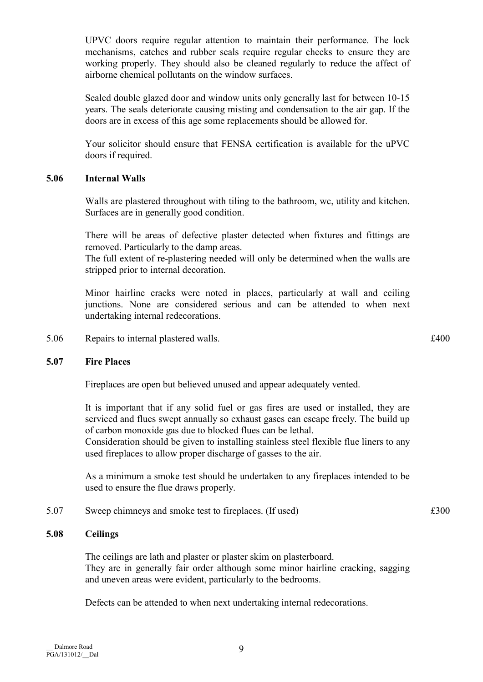mechanisms, catches and rubber seals require regular checks to ensure they are working properly. They should also be cleaned regularly to reduce the affect of airborne chemical pollutants on the window surfaces.

 Sealed double glazed door and window units only generally last for between 10-15 years. The seals deteriorate causing misting and condensation to the air gap. If the doors are in excess of this age some replacements should be allowed for.

UPVC doors require regular attention to maintain their performance. The lock

 Your solicitor should ensure that FENSA certification is available for the uPVC doors if required.

# 5.06 Internal Walls

 Walls are plastered throughout with tiling to the bathroom, wc, utility and kitchen. Surfaces are in generally good condition.

 There will be areas of defective plaster detected when fixtures and fittings are removed. Particularly to the damp areas.

The full extent of re-plastering needed will only be determined when the walls are stripped prior to internal decoration.

 Minor hairline cracks were noted in places, particularly at wall and ceiling junctions. None are considered serious and can be attended to when next undertaking internal redecorations.

5.06 Repairs to internal plastered walls.  $\pounds 400$ 

# 5.07 Fire Places

Fireplaces are open but believed unused and appear adequately vented.

 It is important that if any solid fuel or gas fires are used or installed, they are serviced and flues swept annually so exhaust gases can escape freely. The build up of carbon monoxide gas due to blocked flues can be lethal.

Consideration should be given to installing stainless steel flexible flue liners to any used fireplaces to allow proper discharge of gasses to the air.

 As a minimum a smoke test should be undertaken to any fireplaces intended to be used to ensure the flue draws properly.

5.07 Sweep chimneys and smoke test to fireplaces. (If used)  $\text{\pounds}300$ 

# 5.08 Ceilings

 The ceilings are lath and plaster or plaster skim on plasterboard. They are in generally fair order although some minor hairline cracking, sagging and uneven areas were evident, particularly to the bedrooms.

Defects can be attended to when next undertaking internal redecorations.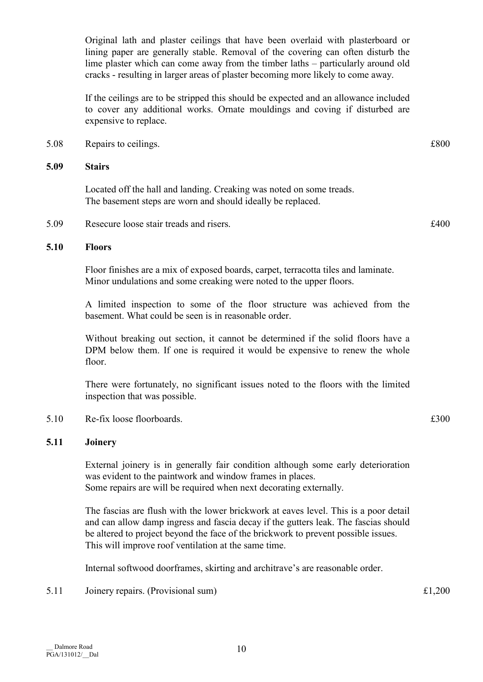Original lath and plaster ceilings that have been overlaid with plasterboard or lining paper are generally stable. Removal of the covering can often disturb the lime plaster which can come away from the timber laths – particularly around old cracks - resulting in larger areas of plaster becoming more likely to come away.

 If the ceilings are to be stripped this should be expected and an allowance included to cover any additional works. Ornate mouldings and coving if disturbed are expensive to replace.

5.08 Repairs to ceilings.  $\text{\pounds}800$ 

# 5.09 Stairs

 Located off the hall and landing. Creaking was noted on some treads. The basement steps are worn and should ideally be replaced.

5.09 Resecure loose stair treads and risers.  $\text{\pounds}400$ 

# 5.10 Floors

 Floor finishes are a mix of exposed boards, carpet, terracotta tiles and laminate. Minor undulations and some creaking were noted to the upper floors.

 A limited inspection to some of the floor structure was achieved from the basement. What could be seen is in reasonable order.

 Without breaking out section, it cannot be determined if the solid floors have a DPM below them. If one is required it would be expensive to renew the whole floor.

 There were fortunately, no significant issues noted to the floors with the limited inspection that was possible.

5.10 Re-fix loose floorboards.  $\epsilon$  5.10 Re-fix loose floorboards.

# 5.11 Joinery

 External joinery is in generally fair condition although some early deterioration was evident to the paintwork and window frames in places. Some repairs are will be required when next decorating externally.

 The fascias are flush with the lower brickwork at eaves level. This is a poor detail and can allow damp ingress and fascia decay if the gutters leak. The fascias should be altered to project beyond the face of the brickwork to prevent possible issues. This will improve roof ventilation at the same time.

Internal softwood doorframes, skirting and architrave's are reasonable order.

5.11 Joinery repairs. (Provisional sum)  $\text{£}1,200$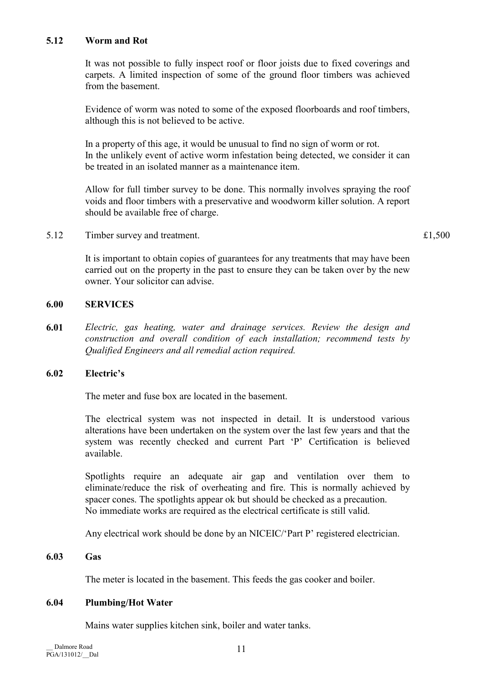# 5.12 Worm and Rot

 It was not possible to fully inspect roof or floor joists due to fixed coverings and carpets. A limited inspection of some of the ground floor timbers was achieved from the basement.

 Evidence of worm was noted to some of the exposed floorboards and roof timbers, although this is not believed to be active.

 In a property of this age, it would be unusual to find no sign of worm or rot. In the unlikely event of active worm infestation being detected, we consider it can be treated in an isolated manner as a maintenance item.

 Allow for full timber survey to be done. This normally involves spraying the roof voids and floor timbers with a preservative and woodworm killer solution. A report should be available free of charge.

5.12 Timber survey and treatment.  $\text{£}1,500$ 

 It is important to obtain copies of guarantees for any treatments that may have been carried out on the property in the past to ensure they can be taken over by the new owner. Your solicitor can advise.

# 6.00 SERVICES

6.01 Electric, gas heating, water and drainage services. Review the design and construction and overall condition of each installation; recommend tests by Qualified Engineers and all remedial action required.

# 6.02 Electric's

The meter and fuse box are located in the basement.

 The electrical system was not inspected in detail. It is understood various alterations have been undertaken on the system over the last few years and that the system was recently checked and current Part 'P' Certification is believed available.

 Spotlights require an adequate air gap and ventilation over them to eliminate/reduce the risk of overheating and fire. This is normally achieved by spacer cones. The spotlights appear ok but should be checked as a precaution. No immediate works are required as the electrical certificate is still valid.

Any electrical work should be done by an NICEIC/'Part P' registered electrician.

# 6.03 Gas

The meter is located in the basement. This feeds the gas cooker and boiler.

# 6.04 Plumbing/Hot Water

Mains water supplies kitchen sink, boiler and water tanks.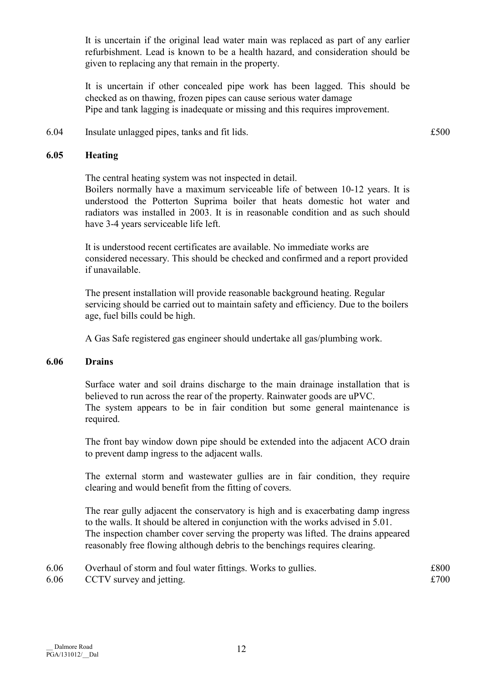It is uncertain if the original lead water main was replaced as part of any earlier refurbishment. Lead is known to be a health hazard, and consideration should be given to replacing any that remain in the property.

 It is uncertain if other concealed pipe work has been lagged. This should be checked as on thawing, frozen pipes can cause serious water damage Pipe and tank lagging is inadequate or missing and this requires improvement.

6.04 Insulate unlagged pipes, tanks and fit lids. £500

### 6.05 Heating

 The central heating system was not inspected in detail. Boilers normally have a maximum serviceable life of between 10-12 years. It is understood the Potterton Suprima boiler that heats domestic hot water and radiators was installed in 2003. It is in reasonable condition and as such should have 3-4 years serviceable life left.

 It is understood recent certificates are available. No immediate works are considered necessary. This should be checked and confirmed and a report provided if unavailable.

 The present installation will provide reasonable background heating. Regular servicing should be carried out to maintain safety and efficiency. Due to the boilers age, fuel bills could be high.

A Gas Safe registered gas engineer should undertake all gas/plumbing work.

#### 6.06 Drains

 Surface water and soil drains discharge to the main drainage installation that is believed to run across the rear of the property. Rainwater goods are uPVC. The system appears to be in fair condition but some general maintenance is required.

 The front bay window down pipe should be extended into the adjacent ACO drain to prevent damp ingress to the adjacent walls.

 The external storm and wastewater gullies are in fair condition, they require clearing and would benefit from the fitting of covers.

 The rear gully adjacent the conservatory is high and is exacerbating damp ingress to the walls. It should be altered in conjunction with the works advised in 5.01. The inspection chamber cover serving the property was lifted. The drains appeared reasonably free flowing although debris to the benchings requires clearing.

| 6.06 | Overhaul of storm and foul water fittings. Works to gullies. | £800 |
|------|--------------------------------------------------------------|------|
| 6.06 | CCTV survey and jetting.                                     | £700 |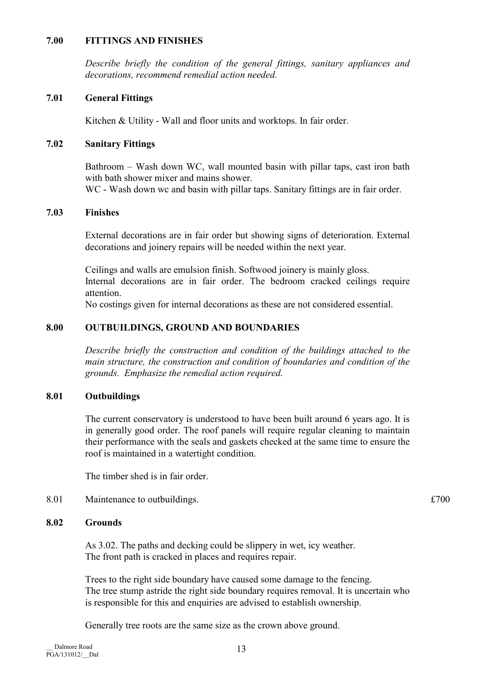### 7.00 FITTINGS AND FINISHES

Describe briefly the condition of the general fittings, sanitary appliances and decorations, recommend remedial action needed.

# 7.01 General Fittings

Kitchen & Utility - Wall and floor units and worktops. In fair order.

# 7.02 Sanitary Fittings

 Bathroom – Wash down WC, wall mounted basin with pillar taps, cast iron bath with bath shower mixer and mains shower.

WC - Wash down we and basin with pillar taps. Sanitary fittings are in fair order.

# 7.03 Finishes

 External decorations are in fair order but showing signs of deterioration. External decorations and joinery repairs will be needed within the next year.

 Ceilings and walls are emulsion finish. Softwood joinery is mainly gloss. Internal decorations are in fair order. The bedroom cracked ceilings require attention.

No costings given for internal decorations as these are not considered essential.

# 8.00 OUTBUILDINGS, GROUND AND BOUNDARIES

Describe briefly the construction and condition of the buildings attached to the main structure, the construction and condition of boundaries and condition of the grounds. Emphasize the remedial action required.

# 8.01 Outbuildings

 The current conservatory is understood to have been built around 6 years ago. It is in generally good order. The roof panels will require regular cleaning to maintain their performance with the seals and gaskets checked at the same time to ensure the roof is maintained in a watertight condition.

The timber shed is in fair order.

# 8.01 Maintenance to outbuildings.  $£700$

# 8.02 Grounds

 As 3.02. The paths and decking could be slippery in wet, icy weather. The front path is cracked in places and requires repair.

 Trees to the right side boundary have caused some damage to the fencing. The tree stump astride the right side boundary requires removal. It is uncertain who is responsible for this and enquiries are advised to establish ownership.

Generally tree roots are the same size as the crown above ground.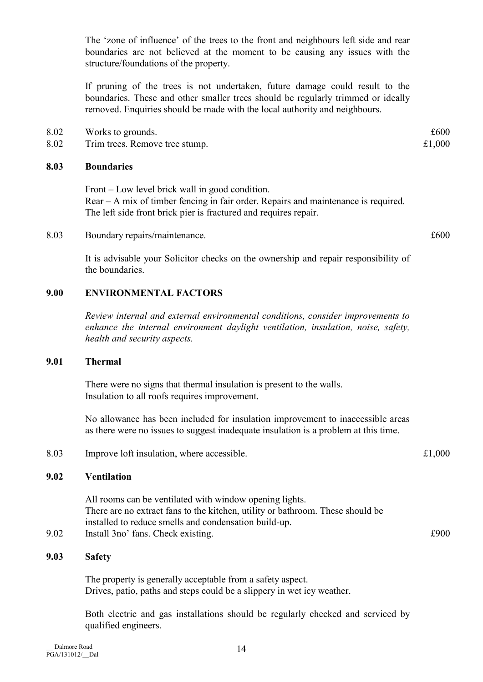The 'zone of influence' of the trees to the front and neighbours left side and rear boundaries are not believed at the moment to be causing any issues with the structure/foundations of the property.

 If pruning of the trees is not undertaken, future damage could result to the boundaries. These and other smaller trees should be regularly trimmed or ideally removed. Enquiries should be made with the local authority and neighbours.

- 8.02 Works to grounds.  $\text{\pounds}600$
- 8.02 Trim trees. Remove tree stump.  $\text{\pounds}1,000$

# 8.03 Boundaries

 Front – Low level brick wall in good condition. Rear – A mix of timber fencing in fair order. Repairs and maintenance is required. The left side front brick pier is fractured and requires repair.

8.03 Boundary repairs/maintenance.  $\text{\pounds}600$ 

 It is advisable your Solicitor checks on the ownership and repair responsibility of the boundaries.

# 9.00 ENVIRONMENTAL FACTORS

Review internal and external environmental conditions, consider improvements to enhance the internal environment daylight ventilation, insulation, noise, safety, health and security aspects.

# 9.01 Thermal

 There were no signs that thermal insulation is present to the walls. Insulation to all roofs requires improvement.

 No allowance has been included for insulation improvement to inaccessible areas as there were no issues to suggest inadequate insulation is a problem at this time.

8.03 Improve loft insulation, where accessible.  $£1,000$ 

#### 9.02 Ventilation

 All rooms can be ventilated with window opening lights. There are no extract fans to the kitchen, utility or bathroom. These should be installed to reduce smells and condensation build-up.

9.02 Install 3no' fans. Check existing.  $\text{\textsterling}900$ 

# 9.03 Safety

 The property is generally acceptable from a safety aspect. Drives, patio, paths and steps could be a slippery in wet icy weather.

 Both electric and gas installations should be regularly checked and serviced by qualified engineers.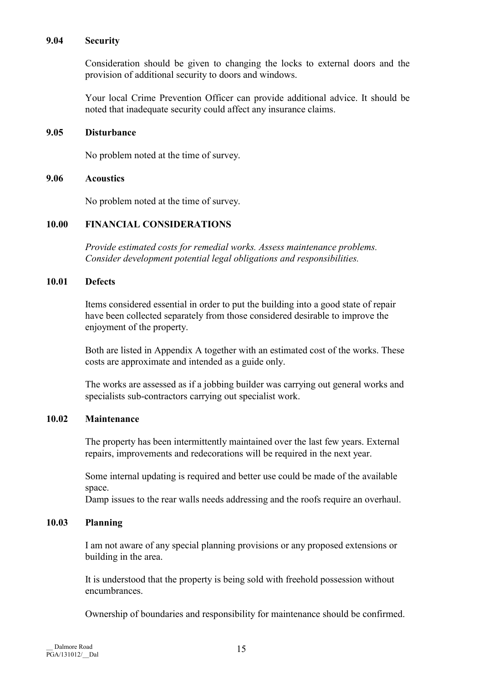#### 9.04 Security

 Consideration should be given to changing the locks to external doors and the provision of additional security to doors and windows.

 Your local Crime Prevention Officer can provide additional advice. It should be noted that inadequate security could affect any insurance claims.

### 9.05 Disturbance

No problem noted at the time of survey.

#### 9.06 Acoustics

No problem noted at the time of survey.

# 10.00 FINANCIAL CONSIDERATIONS

Provide estimated costs for remedial works. Assess maintenance problems. Consider development potential legal obligations and responsibilities.

# 10.01 Defects

 Items considered essential in order to put the building into a good state of repair have been collected separately from those considered desirable to improve the enjoyment of the property.

 Both are listed in Appendix A together with an estimated cost of the works. These costs are approximate and intended as a guide only.

 The works are assessed as if a jobbing builder was carrying out general works and specialists sub-contractors carrying out specialist work.

# 10.02 Maintenance

 The property has been intermittently maintained over the last few years. External repairs, improvements and redecorations will be required in the next year.

 Some internal updating is required and better use could be made of the available space.

Damp issues to the rear walls needs addressing and the roofs require an overhaul.

# 10.03 Planning

 I am not aware of any special planning provisions or any proposed extensions or building in the area.

 It is understood that the property is being sold with freehold possession without encumbrances.

Ownership of boundaries and responsibility for maintenance should be confirmed.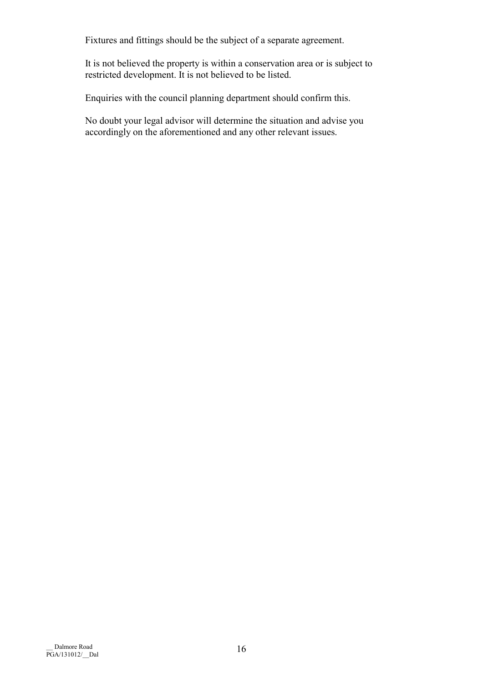Fixtures and fittings should be the subject of a separate agreement.

 It is not believed the property is within a conservation area or is subject to restricted development. It is not believed to be listed.

Enquiries with the council planning department should confirm this.

 No doubt your legal advisor will determine the situation and advise you accordingly on the aforementioned and any other relevant issues.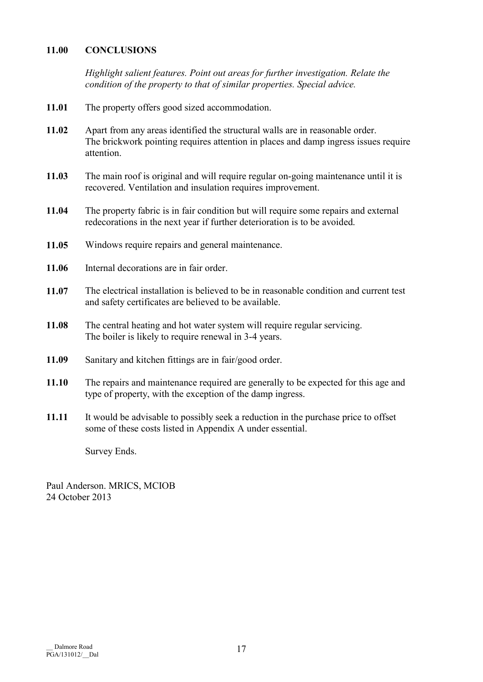# 11.00 CONCLUSIONS

Highlight salient features. Point out areas for further investigation. Relate the condition of the property to that of similar properties. Special advice.

- 11.01 The property offers good sized accommodation.
- 11.02 Apart from any areas identified the structural walls are in reasonable order. The brickwork pointing requires attention in places and damp ingress issues require attention.
- 11.03 The main roof is original and will require regular on-going maintenance until it is recovered. Ventilation and insulation requires improvement.
- 11.04 The property fabric is in fair condition but will require some repairs and external redecorations in the next year if further deterioration is to be avoided.
- 11.05 Windows require repairs and general maintenance.
- 11.06 Internal decorations are in fair order.
- 11.07 The electrical installation is believed to be in reasonable condition and current test and safety certificates are believed to be available.
- 11.08 The central heating and hot water system will require regular servicing. The boiler is likely to require renewal in 3-4 years.
- 11.09 Sanitary and kitchen fittings are in fair/good order.
- 11.10 The repairs and maintenance required are generally to be expected for this age and type of property, with the exception of the damp ingress.
- 11.11 It would be advisable to possibly seek a reduction in the purchase price to offset some of these costs listed in Appendix A under essential.

Survey Ends.

Paul Anderson. MRICS, MCIOB 24 October 2013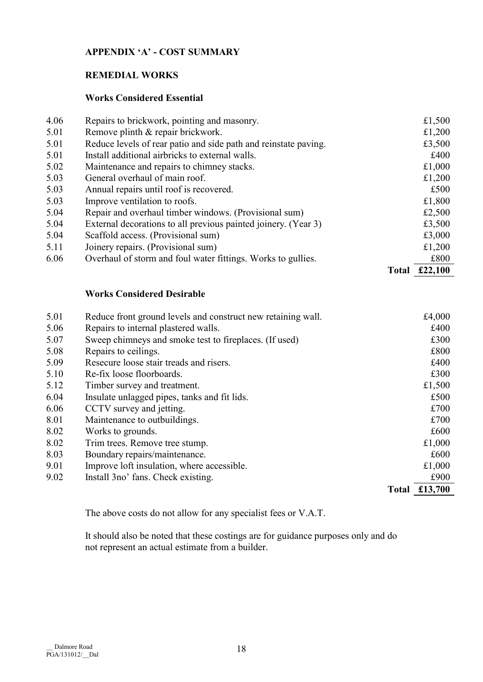# APPENDIX 'A' - COST SUMMARY

# REMEDIAL WORKS

# Works Considered Essential

| 4.06 | Repairs to brickwork, pointing and masonry.                     |              | £1,500  |
|------|-----------------------------------------------------------------|--------------|---------|
| 5.01 | Remove plinth & repair brickwork.                               |              | £1,200  |
| 5.01 | Reduce levels of rear patio and side path and reinstate paving. |              | £3,500  |
| 5.01 | Install additional airbricks to external walls.                 |              | £400    |
| 5.02 | Maintenance and repairs to chimney stacks.                      |              | £1,000  |
| 5.03 | General overhaul of main roof.                                  |              | £1,200  |
| 5.03 | Annual repairs until roof is recovered.                         |              | £500    |
| 5.03 | Improve ventilation to roofs.                                   |              | £1,800  |
| 5.04 | Repair and overhaul timber windows. (Provisional sum)           |              | £2,500  |
| 5.04 | External decorations to all previous painted joinery. (Year 3)  |              | £3,500  |
| 5.04 | Scaffold access. (Provisional sum)                              |              | £3,000  |
| 5.11 | Joinery repairs. (Provisional sum)                              |              | £1,200  |
| 6.06 | Overhaul of storm and foul water fittings. Works to gullies.    |              | £800    |
|      |                                                                 | <b>Total</b> | £22,100 |

# Works Considered Desirable

| 5.01 | Reduce front ground levels and construct new retaining wall. |              | £4,000  |
|------|--------------------------------------------------------------|--------------|---------|
| 5.06 | Repairs to internal plastered walls.                         |              | £400    |
| 5.07 | Sweep chimneys and smoke test to fireplaces. (If used)       |              | £300    |
| 5.08 | Repairs to ceilings.                                         |              | £800    |
| 5.09 | Resecure loose stair treads and risers.                      |              | £400    |
| 5.10 | Re-fix loose floorboards.                                    |              | £300    |
| 5.12 | Timber survey and treatment.                                 |              | £1,500  |
| 6.04 | Insulate unlagged pipes, tanks and fit lids.                 |              | £500    |
| 6.06 | CCTV survey and jetting.                                     |              | £700    |
| 8.01 | Maintenance to outbuildings.                                 |              | £700    |
| 8.02 | Works to grounds.                                            |              | £600    |
| 8.02 | Trim trees. Remove tree stump.                               |              | £1,000  |
| 8.03 | Boundary repairs/maintenance.                                |              | £600    |
| 9.01 | Improve loft insulation, where accessible.                   |              | £1,000  |
| 9.02 | Install 3no' fans. Check existing.                           |              | £900    |
|      |                                                              | <b>Total</b> | £13,700 |

The above costs do not allow for any specialist fees or V.A.T.

 It should also be noted that these costings are for guidance purposes only and do not represent an actual estimate from a builder.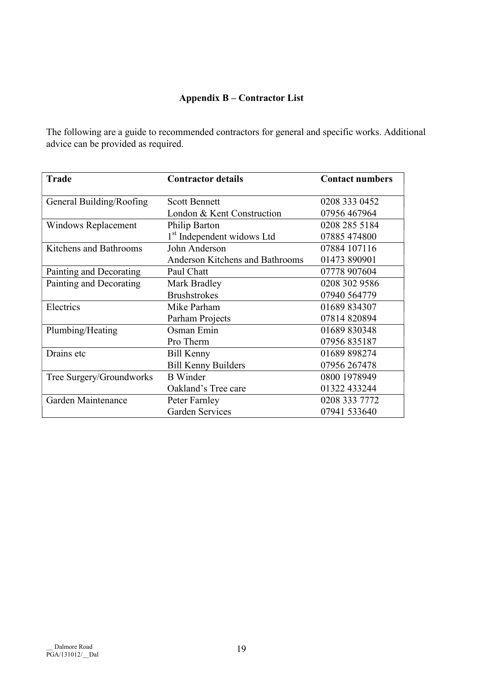# Appendix B – Contractor List

The following are a guide to recommended contractors for general and specific works. Additional advice can be provided as required.

| <b>Trade</b>               | <b>Contractor details</b>              | <b>Contact numbers</b> |
|----------------------------|----------------------------------------|------------------------|
| General Building/Roofing   | <b>Scott Bennett</b>                   | 0208 333 0452          |
|                            | London & Kent Construction             | 07956 467964           |
| <b>Windows Replacement</b> | Philip Barton                          | 0208 285 5184          |
|                            | 1 <sup>st</sup> Independent widows Ltd | 07885 474800           |
| Kitchens and Bathrooms     | John Anderson                          | 07884 107116           |
|                            | <b>Anderson Kitchens and Bathrooms</b> | 01473 890901           |
| Painting and Decorating    | Paul Chatt                             | 07778 907604           |
| Painting and Decorating    | Mark Bradley                           | 0208 302 9586          |
|                            | <b>Brushstrokes</b>                    | 07940 564779           |
| Electrics                  | Mike Parham                            | 01689 834307           |
|                            | Parham Projects                        | 07814820894            |
| Plumbing/Heating           | Osman Emin                             | 01689 830348           |
|                            | Pro Therm                              | 07956 835187           |
| Drains etc                 | <b>Bill Kenny</b>                      | 01689 898274           |
|                            | <b>Bill Kenny Builders</b>             | 07956 267478           |
| Tree Surgery/Groundworks   | <b>B</b> Winder                        | 0800 1978949           |
|                            | Oakland's Tree care                    | 01322 433244           |
| Garden Maintenance         | Peter Farnley                          | 0208 333 7772          |
|                            | <b>Garden Services</b>                 | 07941 533640           |